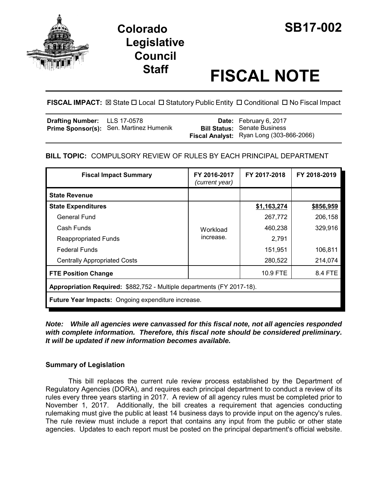

# **Colorado SB17-002 Legislative Council**

# **Staff FISCAL NOTE**

## **FISCAL IMPACT:**  $\boxtimes$  **State □ Local □ Statutory Public Entity □ Conditional □ No Fiscal Impact**

| <b>Drafting Number:</b> LLS 17-0578 |                                                | <b>Date:</b> February 6, 2017            |
|-------------------------------------|------------------------------------------------|------------------------------------------|
|                                     | <b>Prime Sponsor(s):</b> Sen. Martinez Humenik | <b>Bill Status:</b> Senate Business      |
|                                     |                                                | Fiscal Analyst: Ryan Long (303-866-2066) |

# **BILL TOPIC:** COMPULSORY REVIEW OF RULES BY EACH PRINCIPAL DEPARTMENT

| <b>Fiscal Impact Summary</b>                                           | FY 2016-2017<br>(current year) | FY 2017-2018 | FY 2018-2019 |  |  |
|------------------------------------------------------------------------|--------------------------------|--------------|--------------|--|--|
| <b>State Revenue</b>                                                   |                                |              |              |  |  |
| <b>State Expenditures</b>                                              |                                | \$1,163,274  | \$856,959    |  |  |
| General Fund                                                           |                                | 267,772      | 206,158      |  |  |
| Cash Funds                                                             | Workload                       | 460,238      | 329,916      |  |  |
| Reappropriated Funds                                                   | increase.                      | 2,791        |              |  |  |
| <b>Federal Funds</b>                                                   |                                | 151,951      | 106,811      |  |  |
| <b>Centrally Appropriated Costs</b>                                    |                                | 280,522      | 214,074      |  |  |
| <b>FTE Position Change</b>                                             |                                | 10.9 FTE     | 8.4 FTE      |  |  |
| Appropriation Required: \$882,752 - Multiple departments (FY 2017-18). |                                |              |              |  |  |
| <b>Future Year Impacts:</b> Ongoing expenditure increase.              |                                |              |              |  |  |

*Note: While all agencies were canvassed for this fiscal note, not all agencies responded with complete information. Therefore, this fiscal note should be considered preliminary. It will be updated if new information becomes available.* 

### **Summary of Legislation**

This bill replaces the current rule review process established by the Department of Regulatory Agencies (DORA), and requires each principal department to conduct a review of its rules every three years starting in 2017. A review of all agency rules must be completed prior to November 1, 2017. Additionally, the bill creates a requirement that agencies conducting rulemaking must give the public at least 14 business days to provide input on the agency's rules. The rule review must include a report that contains any input from the public or other state agencies. Updates to each report must be posted on the principal department's official website.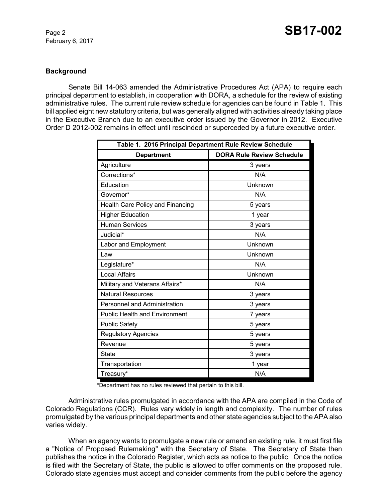#### **Background**

Senate Bill 14-063 amended the Administrative Procedures Act (APA) to require each principal department to establish, in cooperation with DORA, a schedule for the review of existing administrative rules. The current rule review schedule for agencies can be found in Table 1. This bill applied eight new statutory criteria, but was generally aligned with activities already taking place in the Executive Branch due to an executive order issued by the Governor in 2012. Executive Order D 2012-002 remains in effect until rescinded or superceded by a future executive order.

| Table 1. 2016 Principal Department Rule Review Schedule |                                  |  |  |
|---------------------------------------------------------|----------------------------------|--|--|
| <b>Department</b>                                       | <b>DORA Rule Review Schedule</b> |  |  |
| Agriculture                                             | 3 years                          |  |  |
| Corrections*                                            | N/A                              |  |  |
| Education                                               | Unknown                          |  |  |
| Governor*                                               | N/A                              |  |  |
| Health Care Policy and Financing                        | 5 years                          |  |  |
| <b>Higher Education</b>                                 | 1 year                           |  |  |
| <b>Human Services</b>                                   | 3 years                          |  |  |
| Judicial*                                               | N/A                              |  |  |
| Labor and Employment                                    | Unknown                          |  |  |
| Law                                                     | Unknown                          |  |  |
| Legislature*                                            | N/A                              |  |  |
| <b>Local Affairs</b>                                    | Unknown                          |  |  |
| Military and Veterans Affairs*                          | N/A                              |  |  |
| <b>Natural Resources</b>                                | 3 years                          |  |  |
| <b>Personnel and Administration</b>                     | 3 years                          |  |  |
| <b>Public Health and Environment</b>                    | 7 years                          |  |  |
| <b>Public Safety</b>                                    | 5 years                          |  |  |
| <b>Regulatory Agencies</b>                              | 5 years                          |  |  |
| Revenue                                                 | 5 years                          |  |  |
| <b>State</b>                                            | 3 years                          |  |  |
| Transportation                                          | 1 year                           |  |  |
| Treasury*                                               | N/A                              |  |  |

\*Department has no rules reviewed that pertain to this bill.

Administrative rules promulgated in accordance with the APA are compiled in the Code of Colorado Regulations (CCR). Rules vary widely in length and complexity. The number of rules promulgated by the various principal departments and other state agencies subject to the APA also varies widely.

When an agency wants to promulgate a new rule or amend an existing rule, it must first file a "Notice of Proposed Rulemaking" with the Secretary of State. The Secretary of State then publishes the notice in the Colorado Register, which acts as notice to the public. Once the notice is filed with the Secretary of State, the public is allowed to offer comments on the proposed rule. Colorado state agencies must accept and consider comments from the public before the agency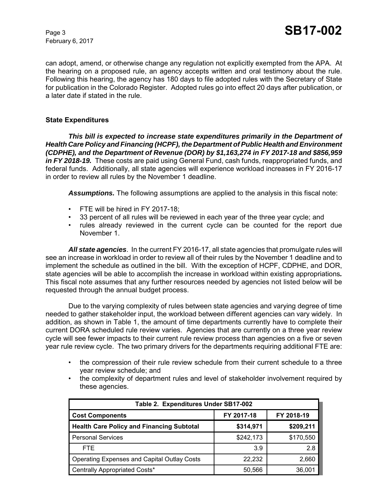can adopt, amend, or otherwise change any regulation not explicitly exempted from the APA. At the hearing on a proposed rule, an agency accepts written and oral testimony about the rule. Following this hearing, the agency has 180 days to file adopted rules with the Secretary of State for publication in the Colorado Register. Adopted rules go into effect 20 days after publication, or a later date if stated in the rule.

#### **State Expenditures**

*This bill is expected to increase state expenditures primarily in the Department of Health Care Policy and Financing (HCPF), the Department of Public Health and Environment (CDPHE), and the Department of Revenue (DOR) by \$1,163,274 in FY 2017-18 and \$856,959* in FY 2018-19. These costs are paid using General Fund, cash funds, reappropriated funds, and federal funds. Additionally, all state agencies will experience workload increases in FY 2016-17 in order to review all rules by the November 1 deadline.

*Assumptions.* The following assumptions are applied to the analysis in this fiscal note:

- FTE will be hired in FY 2017-18;
- 33 percent of all rules will be reviewed in each year of the three year cycle; and
- rules already reviewed in the current cycle can be counted for the report due November 1.

*All state agencies*. In the current FY 2016-17, all state agencies that promulgate rules will see an increase in workload in order to review all of their rules by the November 1 deadline and to implement the schedule as outlined in the bill. With the exception of HCPF, CDPHE, and DOR, state agencies will be able to accomplish the increase in workload within existing appropriations*.* This fiscal note assumes that any further resources needed by agencies not listed below will be requested through the annual budget process.

Due to the varying complexity of rules between state agencies and varying degree of time needed to gather stakeholder input, the workload between different agencies can vary widely. In addition, as shown in Table 1, the amount of time departments currently have to complete their current DORA scheduled rule review varies. Agencies that are currently on a three year review cycle will see fewer impacts to their current rule review process than agencies on a five or seven year rule review cycle. The two primary drivers for the departments requiring additional FTE are:

- the compression of their rule review schedule from their current schedule to a three year review schedule; and
- the complexity of department rules and level of stakeholder involvement required by these agencies.

| Table 2. Expenditures Under SB17-002               |            |            |  |  |  |
|----------------------------------------------------|------------|------------|--|--|--|
| <b>Cost Components</b>                             | FY 2017-18 | FY 2018-19 |  |  |  |
| <b>Health Care Policy and Financing Subtotal</b>   | \$314,971  | \$209,211  |  |  |  |
| <b>Personal Services</b>                           | \$242,173  | \$170,550  |  |  |  |
| <b>FTE</b>                                         | 3.9        | 2.8        |  |  |  |
| <b>Operating Expenses and Capital Outlay Costs</b> | 22,232     | 2,660      |  |  |  |
| Centrally Appropriated Costs*                      | 50,566     | 36.001     |  |  |  |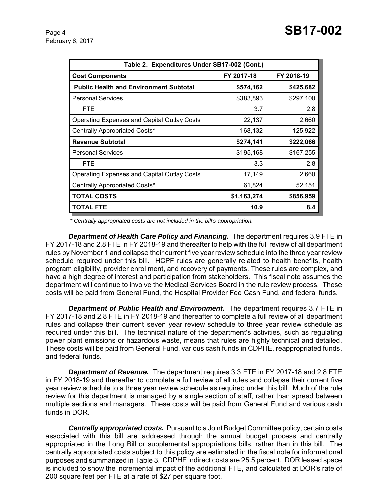| Table 2. Expenditures Under SB17-002 (Cont.)       |             |            |  |  |  |
|----------------------------------------------------|-------------|------------|--|--|--|
| <b>Cost Components</b>                             | FY 2017-18  | FY 2018-19 |  |  |  |
| <b>Public Health and Environment Subtotal</b>      | \$574,162   | \$425,682  |  |  |  |
| <b>Personal Services</b>                           | \$383,893   | \$297,100  |  |  |  |
| <b>FTE</b>                                         | 3.7         | 2.8        |  |  |  |
| Operating Expenses and Capital Outlay Costs        | 22,137      | 2,660      |  |  |  |
| Centrally Appropriated Costs*                      | 168,132     | 125,922    |  |  |  |
| <b>Revenue Subtotal</b>                            | \$274,141   | \$222,066  |  |  |  |
| <b>Personal Services</b>                           | \$195,168   | \$167,255  |  |  |  |
| <b>FTE</b>                                         | 3.3         | 2.8        |  |  |  |
| <b>Operating Expenses and Capital Outlay Costs</b> | 17,149      | 2,660      |  |  |  |
| Centrally Appropriated Costs*                      | 61,824      | 52,151     |  |  |  |
| <b>TOTAL COSTS</b>                                 | \$1,163,274 | \$856,959  |  |  |  |
| <b>TOTAL FTE</b>                                   | 10.9        | 8.4        |  |  |  |

 *\* Centrally appropriated costs are not included in the bill's appropriation.*

*Department of Health Care Policy and Financing.* The department requires 3.9 FTE in FY 2017-18 and 2.8 FTE in FY 2018-19 and thereafter to help with the full review of all department rules by November 1 and collapse their current five year review schedule into the three year review schedule required under this bill. HCPF rules are generally related to health benefits, health program eligibility, provider enrollment, and recovery of payments. These rules are complex, and have a high degree of interest and participation from stakeholders. This fiscal note assumes the department will continue to involve the Medical Services Board in the rule review process. These costs will be paid from General Fund, the Hospital Provider Fee Cash Fund, and federal funds.

*Department of Public Health and Environment.* The department requires 3.7 FTE in FY 2017-18 and 2.8 FTE in FY 2018-19 and thereafter to complete a full review of all department rules and collapse their current seven year review schedule to three year review schedule as required under this bill. The technical nature of the department's activities, such as regulating power plant emissions or hazardous waste, means that rules are highly technical and detailed. These costs will be paid from General Fund, various cash funds in CDPHE, reappropriated funds, and federal funds.

*Department of Revenue.* The department requires 3.3 FTE in FY 2017-18 and 2.8 FTE in FY 2018-19 and thereafter to complete a full review of all rules and collapse their current five year review schedule to a three year review schedule as required under this bill. Much of the rule review for this department is managed by a single section of staff, rather than spread between multiple sections and managers. These costs will be paid from General Fund and various cash funds in DOR.

*Centrally appropriated costs.* Pursuant to a Joint Budget Committee policy, certain costs associated with this bill are addressed through the annual budget process and centrally appropriated in the Long Bill or supplemental appropriations bills, rather than in this bill. The centrally appropriated costs subject to this policy are estimated in the fiscal note for informational purposes and summarized in Table 3. CDPHE indirect costs are 25.5 percent. DOR leased space is included to show the incremental impact of the additional FTE, and calculated at DOR's rate of 200 square feet per FTE at a rate of \$27 per square foot.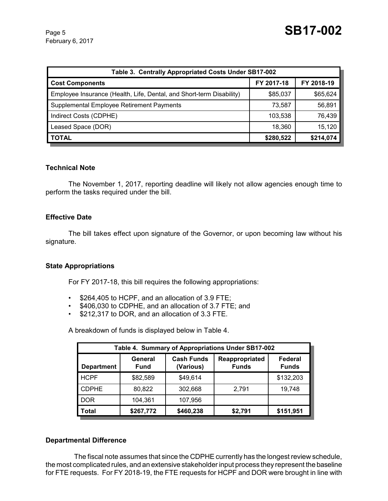| Table 3. Centrally Appropriated Costs Under SB17-002                 |            |            |  |  |  |
|----------------------------------------------------------------------|------------|------------|--|--|--|
| <b>Cost Components</b>                                               | FY 2017-18 | FY 2018-19 |  |  |  |
| Employee Insurance (Health, Life, Dental, and Short-term Disability) | \$85,037   | \$65,624   |  |  |  |
| Supplemental Employee Retirement Payments                            | 73,587     | 56,891     |  |  |  |
| Indirect Costs (CDPHE)                                               | 103,538    | 76,439     |  |  |  |
| Leased Space (DOR)                                                   | 18,360     | 15,120     |  |  |  |
| <b>TOTAL</b>                                                         | \$280,522  | \$214,074  |  |  |  |

#### **Technical Note**

The November 1, 2017, reporting deadline will likely not allow agencies enough time to perform the tasks required under the bill.

#### **Effective Date**

The bill takes effect upon signature of the Governor, or upon becoming law without his signature.

#### **State Appropriations**

For FY 2017-18, this bill requires the following appropriations:

- \$264,405 to HCPF, and an allocation of 3.9 FTE;
- \$406,030 to CDPHE, and an allocation of 3.7 FTE; and
- \$212,317 to DOR, and an allocation of 3.3 FTE.

A breakdown of funds is displayed below in Table 4.

| Table 4. Summary of Appropriations Under SB17-002 |                        |                                |                                |                         |  |  |
|---------------------------------------------------|------------------------|--------------------------------|--------------------------------|-------------------------|--|--|
| <b>Department</b>                                 | General<br><b>Fund</b> | <b>Cash Funds</b><br>(Various) | Reappropriated<br><b>Funds</b> | Federal<br><b>Funds</b> |  |  |
| <b>HCPF</b>                                       | \$82,589               | \$49,614                       |                                | \$132,203               |  |  |
| <b>CDPHE</b>                                      | 80,822                 | 302,668                        | 2,791                          | 19,748                  |  |  |
| <b>DOR</b>                                        | 104,361                | 107,956                        |                                |                         |  |  |
| Total                                             | \$267,772              | \$460,238                      | \$2,791                        | \$151,951               |  |  |

#### **Departmental Difference**

The fiscal note assumes that since the CDPHE currently has the longest review schedule, the most complicated rules, and an extensive stakeholder input process they represent the baseline for FTE requests. For FY 2018-19, the FTE requests for HCPF and DOR were brought in line with